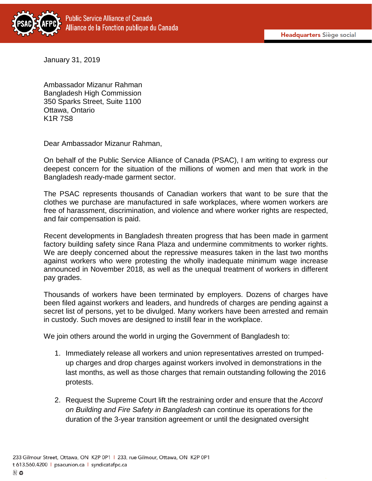

January 31, 2019

Ambassador Mizanur Rahman Bangladesh High Commission 350 Sparks Street, Suite 1100 Ottawa, Ontario K1R 7S8

Dear Ambassador Mizanur Rahman,

On behalf of the Public Service Alliance of Canada (PSAC), I am writing to express our deepest concern for the situation of the millions of women and men that work in the Bangladesh ready-made garment sector.

The PSAC represents thousands of Canadian workers that want to be sure that the clothes we purchase are manufactured in safe workplaces, where women workers are free of harassment, discrimination, and violence and where worker rights are respected, and fair compensation is paid.

Recent developments in Bangladesh threaten progress that has been made in garment factory building safety since Rana Plaza and undermine commitments to worker rights. We are deeply concerned about the repressive measures taken in the last two months against workers who were protesting the wholly inadequate minimum wage increase announced in November 2018, as well as the unequal treatment of workers in different pay grades.

Thousands of workers have been terminated by employers. Dozens of charges have been filed against workers and leaders, and hundreds of charges are pending against a secret list of persons, yet to be divulged. Many workers have been arrested and remain in custody. Such moves are designed to instill fear in the workplace.

We join others around the world in urging the Government of Bangladesh to:

- 1. Immediately release all workers and union representatives arrested on trumpedup charges and drop charges against workers involved in demonstrations in the last months, as well as those charges that remain outstanding following the 2016 protests.
- 2. Request the Supreme Court lift the restraining order and ensure that the *Accord on Building and Fire Safety in Bangladesh* can continue its operations for the duration of the 3-year transition agreement or until the designated oversight

 $\cup$  0